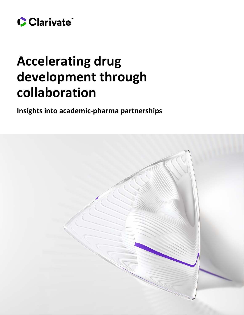

# **Accelerating drug development through collaboration**

**Insights into academic-pharma partnerships**

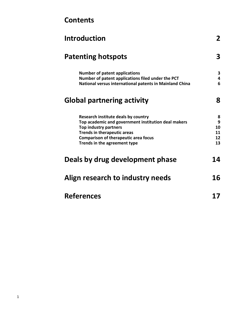| <b>Introduction</b>                                                                                                                                                                                                                             | $\mathbf{2}$                   |
|-------------------------------------------------------------------------------------------------------------------------------------------------------------------------------------------------------------------------------------------------|--------------------------------|
| <b>Patenting hotspots</b>                                                                                                                                                                                                                       | 3                              |
| <b>Number of patent applications</b><br>Number of patent applications filed under the PCT<br>National versus international patents in Mainland China                                                                                            | 3<br>4<br>6                    |
| <b>Global partnering activity</b>                                                                                                                                                                                                               | 8                              |
| Research institute deals by country<br>Top academic and government institution deal makers<br><b>Top industry partners</b><br><b>Trends in therapeutic areas</b><br><b>Comparison of therapeutic area focus</b><br>Trends in the agreement type | 8<br>9<br>10<br>11<br>12<br>13 |
| Deals by drug development phase                                                                                                                                                                                                                 | 14                             |
| Align research to industry needs                                                                                                                                                                                                                | 16                             |
| <b>References</b>                                                                                                                                                                                                                               |                                |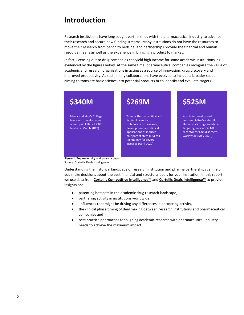# <span id="page-2-0"></span>**Introduction**

Research institutions have long sought partnerships with the pharmaceutical industry to advance their research and secure new funding streams. Many institutions do not have the resources to move their research from bench to bedside, and partnerships provide the financial and human resource means as well as the experience in bringing a product to market.

In fact, licensing out to drug companies can yield high income for some academic institutions, as evidenced by the figures below. At the same time, pharmaceutical companies recognize the value of academic and research organizations in acting as a source of innovation, drug discovery and improved productivity. As such, many collaborations have evolved to include a broader scope, aiming to translate basic science into potential products or to identify and evaluate targets.



Source: Cortellis Deals Intelligence

Understanding the historical landscape of research institution and pharma partnerships can help you make decisions about the best financial and structural deals for your institution. In this report, we use data from **[Cortellis Competitive Intelligence](https://clarivate.com/competitiveintelligence)™** and **[Cortellis Deals Intelligence](file:///C:/Users/bnegiz/AppData/Local/Microsoft/Windows/INetCache/Content.Outlook/5C6P5HZ4/clarivate.com/dealsintelligence)™** to provide insights on:

- patenting hotspots in the academic drug research landscape,
- partnering activity in institutions worldwide,
- influences that might be driving any differences in partnering activity,
- the clinical phase timing of deal making between research institutions and pharmaceutical companies and
- best practice approaches for aligning academic research with pharmaceutical industry needs to achieve the maximum impact.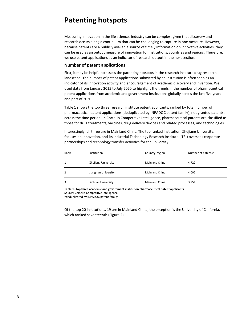# <span id="page-3-0"></span>**Patenting hotspots**

Measuring innovation in the life sciences industry can be complex, given that discovery and research occurs along a continuum that can be challenging to capture in one measure. However, because patents are a publicly available source of timely information on innovative activities, they can be used as an output measure of innovation for institutions, countries and regions. Therefore, we use patent applications as an indicator of research output in the next section.

# <span id="page-3-1"></span>**Number of patent applications**

First, it may be helpful to assess the patenting hotspots in the research institute drug research landscape. The number of patent applications submitted by an institution is often seen as an indicator of its innovation activity and encouragement of academic discovery and invention. We used data from January 2015 to July 2020 to highlight the trends in the number of pharmaceutical patent applications from academic and government institutions globally across the last five years and part of 2020.

Table 1 shows the top three research institute patent applicants, ranked by total number of pharmaceutical patent applications (deduplicated by INPADOC patent family), not granted patents, across the time period. In Cortellis Competitive Intelligence, pharmaceutical patents are classified as those for drug treatments, vaccines, drug delivery devices and related processes, and technologies.

Interestingly, all three are in Mainland China. The top ranked institution, Zhejiang University, focuses on innovation, and its Industrial Technology Research Institute (ITRI) oversees corporate partnerships and technology transfer activities for the university.

| Rank | Institution         | Country/region        | Number of patents* |
|------|---------------------|-----------------------|--------------------|
| 1    | Zhejiang University | <b>Mainland China</b> | 4,722              |
| 2    | Jiangnan University | <b>Mainland China</b> | 4,002              |
| 3    | Sichuan University  | Mainland China        | 3,251              |

**Table 1. Top three academic and government institution pharmaceutical patent applicants**

Source: Cortellis Competitive Intelligence

\*deduplicated by INPADOC patent family

Of the top 20 institutions, 19 are in Mainland China; the exception is the University of California, which ranked seventeenth (Figure 2).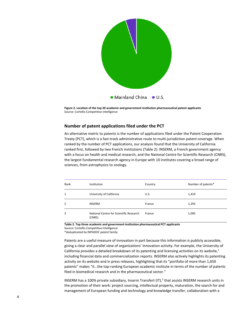

**Figure 2. Location of the top 20 academic and government institution pharmaceutical patent applicants** Source: Cortellis Competitive Intelligence

### <span id="page-4-0"></span>**Number of patent applications filed under the PCT**

An alternative metric to patents is the number of applications filed under the Patent Cooperation Treaty (PCT), which is a fast-track administrative route to multi-jurisdiction patent coverage. When ranked by the number of PCT applications, our analysis found that the University of California ranked first, followed by two French institutions (Table 2): INSERM, a French government agency with a focus on health and medical research, and the National Centre for Scientific Research (CNRS), the largest fundamental research agency in Europe with 10 institutes covering a broad range of sciences, from astrophysics to zoology.

| Rank | Institution                                       | Country | Number of patents* |
|------|---------------------------------------------------|---------|--------------------|
| 1    | University of California                          | U.S.    | 1,419              |
| 2    | <b>INSERM</b>                                     | France  | 1,293              |
| 3    | National Centre for Scientific Research<br>(CNRS) | France  | 1,095              |

**Table 2. Top three academic and government institution pharmaceutical PCT applicants**

Source: Cortellis Competitive Intelligence

\*deduplicated by INPADOC patent family

Patents are a useful measure of innovation in part because this information is publicly accessible, giving a clear and parallel view of organizations' innovation activity. For example, the University of California provides a detailed breakdown of its patenting and licensing activities on its website,<sup>1</sup> including financial data and commercialization reports. INSERM also actively highlights its patenting activity on its website and in press releases, highlighting that its "portfolio of more than 1,650 patents" makes "it…the top-ranking European academic institute in terms of the number of patents filed in biomedical research and in the pharmaceutical sector."

INSERM has a 100% private subsidiary, Inserm Transfert (IT),<sup>2</sup> that assists INSERM research units in the promotion of their work: project sourcing, intellectual property, maturation, the search for and management of European funding and technology and knowledge transfer, collaboration with a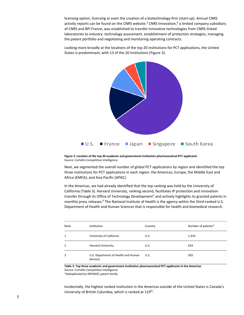licensing option, licensing or even the creation of a biotechnology firm (start-up). Annual CNRS activity reports can be found on the CNRS website.<sup>3</sup> CNRS Innovation,<sup>4</sup> a limited company subsidiary of CNRS and BPI France, was established to transfer innovative technologies from CNRS-linked laboratories to industry: technology assessment, establishment of protection strategies, managing the patent portfolio and negotiating and monitoring operating contracts.

Looking more broadly at the locations of the top 20 institutions for PCT applications, the United States is predominant, with 13 of the 20 institutions (Figure 3).



**Figure 3. Location of the top 20 academic and government institution pharmaceutical PCT applicants** Source: Cortellis Competitive Intelligence

Next, we segmented the overall number of global PCT applications by region and identified the top three institutions for PCT applications in each region: the Americas; Europe, the Middle East and Africa (EMEA); and Asia Pacific (APAC).

In the Americas, we had already identified that the top ranking was held by the University of California (Table 3). Harvard University, ranking second, facilitates IP protection and innovation transfer through its Office of Technology Development<sup>5</sup> and actively highlights its granted patents in monthly press releases.<sup>6</sup> The National Institute of Health is the agency within the third-ranked U.S. Department of Health and Human Sciences that is responsible for health and biomedical research.

| Rank | Institution                                     | Country | Number of patents* |
|------|-------------------------------------------------|---------|--------------------|
| 1    | University of California                        | U.S.    | 1,419              |
| 2    | <b>Harvard University</b>                       | U.S.    | 633                |
| 3    | U.S. Department of Health and Human<br>Services | U.S.    | 565                |

**Table 3. Top three academic and government institution pharmaceutical PCT applicants in the Americas** Source: Cortellis Competitive Intelligence

\*deduplicated by INPADOC patent family

Incidentally, the highest ranked institution in the Americas outside of the United States is Canada's University of British Columbia, which is ranked at 119<sup>th</sup>.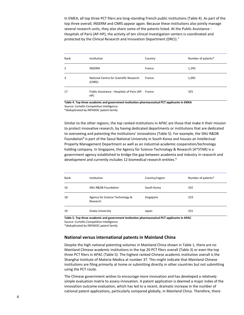In EMEA, all top three PCT filers are long-standing French public institutions (Table 4). As part of the top three overall, INSERM and CNRS appear again. Because these institutions also jointly manage several research units, they also share some of the patents listed. At the Public Assistance - Hospitals of Paris (AP-HP), the activity of ten clinical investigation centers is coordinated and protected by the Clinical Research and Innovation Department (DRCI).<sup>7</sup>

| Rank | Institution                                               | Country | Number of patents* |
|------|-----------------------------------------------------------|---------|--------------------|
| 2    | <b>INSERM</b>                                             | France  | 1,293              |
| 3    | National Centre for Scientific Research<br>(CNRS)         | France  | 1,095              |
| 17   | Public Assistance - Hospitals of Paris (AP- France<br>HP) |         | 325                |

**Table 4. Top three academic and government institution pharmaceutical PCT applicants in EMEA** Source: Cortellis Competitive Intelligence

\*deduplicated by INPADOC patent family

Similar to the other regions, the top ranked institutions in APAC are those that make it their mission to protect innovative research, by having dedicated departments or institutions that are dedicated to overseeing and patenting the institutions' innovations (Table 5). For example, the SNU R&DB Foundation<sup>8</sup> is part of the Seoul National University in South Korea and houses an Intellectual Property Management Department as well as an industrial-academic cooperation/technology holding company. In Singapore, the Agency for Science Technology & Research (A\*STAR) is a government agency established to bridge the gap between academia and industry in research and development and currently includes 12 biomedical research entities.<sup>9</sup>

| Rank | <b>Institution</b>                          | Country/region | Number of patents* |
|------|---------------------------------------------|----------------|--------------------|
| 16   | <b>SNU R&amp;DB Foundation</b>              | South Korea    | 332                |
| 18   | Agency for Science Technology &<br>Research | Singapore      | 319                |
| 19   | Osaka University                            | Japan          | 315                |

**Table 5. Top three academic and government institution pharmaceutical PCT applicants in APAC** Source: Cortellis Competitive Intelligence

\*deduplicated by INPADOC patent family

### <span id="page-6-0"></span>**National versus international patents in Mainland China**

Despite the high national patenting volumes in Mainland China shown in Table 1, there are no Mainland Chinese academic institutions in the top 20 PCT filers overall (Table 3) or even the top three PCT filers in APAC (Table 5). The highest ranked Chinese academic institution overall is the Shanghai Institute of Materia Medica at number 37. This might indicate that Mainland Chinese institutions are filing primarily at home or submitting directly in other countries but not submitting using the PCT route.

The Chinese government wishes to encourage more innovation and has developed a relatively simple evaluation matrix to assess innovation. A patent application is deemed a major index of the innovation outcome evaluation, which has led to a recent, dramatic increase in the number of national patent applications, particularly compared globally, in Mainland China. Therefore, there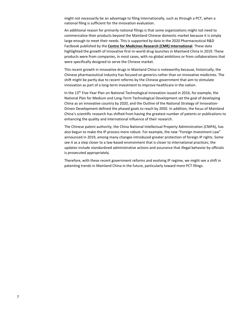might not necessarily be an advantage to filing internationally, such as through a PCT, when a national filing is sufficient for the innovation evaluation.

An additional reason for primarily national filings is that some organizations might not need to commercialize their products beyond the Mainland Chinese domestic market because it is simply large enough to meet their needs. This is supported by data in the 2020 Pharmaceutical R&D Factbook published by the **[Centre for Medicines Research \(CMR\) International](https://clarivate.com/innovation-exchange/solution/cmr-international-pharmaceutical-rd-factbook/)**. These data highlighted the growth of innovative first-in-world drug launches in Mainland China in 2019. These products were from companies, in most cases, with no global ambitions or from collaborations that were specifically designed to serve the Chinese market.

This recent growth in innovative drugs in Mainland China is noteworthy because, historically, the Chinese pharmaceutical industry has focused on generics rather than on innovative medicines. The shift might be partly due to recent reforms by the Chinese government that aim to stimulate innovation as part of a long-term investment to improve healthcare in the nation.

In the 13th Five-Year Plan on National Technological Innovation issued in 2016, for example, the National Plan for Medium and Long-Term Technological Development set the goal of developing China as an innovative country by 2020, and the Outline of the National Strategy of Innovation-Driven Development defined the phased goals to reach by 2050. In addition, the focus of Mainland China's scientific research has shifted from having the greatest number of patents or publications to enhancing the quality and international influence of their research.

The Chinese patent authority, the China National Intellectual Property Administration (CNIPA), has also begun to make the IP process more robust. For example, the new "Foreign Investment Law" announced in 2019, among many changes introduced greater protection of foreign IP rights. Some see it as a step closer to a law-based environment that is closer to international practices; the updates include standardized administrative actions and assurance that illegal behavior by officials is prosecuted appropriately.

Therefore, with these recent government reforms and evolving IP regime, we might see a shift in patenting trends in Mainland China in the future, particularly toward more PCT filings.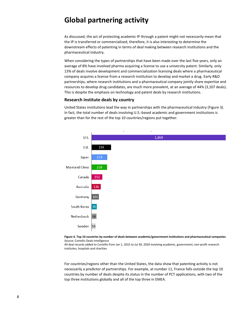# <span id="page-8-0"></span>**Global partnering activity**

As discussed, the act of protecting academic IP through a patent might not necessarily mean that the IP is transferred or commercialized; therefore, it is also interesting to determine the downstream effects of patenting in terms of deal making between research institutions and the pharmaceutical industry.

When considering the types of partnerships that have been made over the last five years, only an average of 8% have involved pharma acquiring a license to use a university patent. Similarly, only 13% of deals involve development and commercialization licensing deals where a pharmaceutical company acquires a license from a research institution to develop and market a drug. Early R&D partnerships, where research institutions and a pharmaceutical company jointly share expertise and resources to develop drug candidates, are much more prevalent, at an average of 44% (3,107 deals). This is despite the emphasis on technology and patent deals by research institutions.

### <span id="page-8-1"></span>**Research institute deals by country**

United States institutions lead the way in partnerships with the pharmaceutical industry (Figure 3). In fact, the total number of deals involving U.S.-based academic and government institutions is greater than for the rest of the top 10 countries/regions put together.





All deal records added to Cortellis from Jan 1, 2015 to Jul 30, 2020 involving academic, government, non-profit research institutes, hospitals and charities

For countries/regions other than the United States, the data show that patenting activity is not necessarily a predictor of partnerships. For example, at number 11, France falls outside the top 10 countries by number of deals despite its status in the number of PCT applications, with two of the top three institutions globally and all of the top three in EMEA.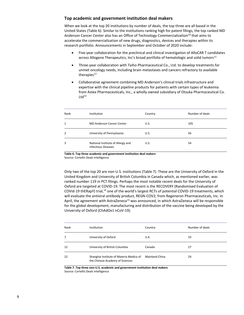### <span id="page-9-0"></span>**Top academic and government institution deal makers**

When we look at the top 20 institutions by number of deals, the top three are all based in the United States (Table 6). Similar to the institutions ranking high for patent filings, the top ranked MD Anderson Cancer Center also has an Office of Technology Commercialization<sup>10</sup> that aims to accelerate the commercialization of new drugs, diagnostics, devices and therapies within its research portfolio. Announcements in September and October of 2020 include:

- Five-year collaboration for the preclinical and clinical investigation of AlloCAR T candidates across Allogene Therapeutics, Inc's broad portfolio of hematologic and solid tumors<sup>11</sup>
- Three-year collaboration with Taiho Pharmaceutical Co., Ltd. to develop treatments for unmet oncology needs, including brain metastases and cancers refractory to available therapies $12$
- Collaborative agreement combining MD Anderson's clinical trials infrastructure and expertise with the clinical pipeline products for patients with certain types of leukemia from Astex Pharmaceuticals, Inc., a wholly owned subsidiary of Otsuka Pharmaceutical Co.  $Ltd^{13}$

| Rank         | Institution                                                     | Country | Number of deals |
|--------------|-----------------------------------------------------------------|---------|-----------------|
| $\mathbf{1}$ | <b>MD Anderson Cancer Center</b>                                | U.S.    | 105             |
| 2            | University of Pennsylvania                                      | U.S.    | 56              |
| 3            | National Institute of Allergy and<br><b>Infectious Diseases</b> | U.S.    | 54              |

**Table 6. Top three academic and government institution deal makers** Source: Cortellis Deals Intelligence

Only two of the top 20 are non-U.S. institutions (Table 7). These are the University of Oxford in the United Kingdom and University of British Columbia in Canada which, as mentioned earlier, was ranked number 119 in PCT filings. Perhaps the most notable recent deals for the University of Oxford are targeted at COVID-19. The most recent is the RECOVERY (Randomised Evaluation of COVid-19 thERapY) trial,<sup>14</sup> one of the world's largest RCTs of potential COVID-19 treatments, which will evaluate the antiviral antibody product, REGN-COV2, from Regeneron Pharmaceuticals, Inc. In April, the agreement with AstraZeneca<sup>15</sup> was announced, in which AstraZeneca will be responsible for the global development, manufacturing and distribution of the vaccine being developed by the University of Oxford (ChAdOx1 nCoV-19).

| Rank | Institution                                                                | Country               | Number of deals |
|------|----------------------------------------------------------------------------|-----------------------|-----------------|
| 7    | University of Oxford                                                       | U.K.                  | 33              |
| 12   | University of British Columbia                                             | Canada                | 27              |
| 22   | Shanghai Institute of Materia Medica of<br>the Chinese Academy of Sciences | <b>Mainland China</b> | 24              |

**Table 7. Top three non-U.S. academic and government institution deal makers** Source: Cortellis Deals Intelligence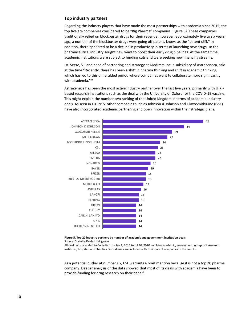# <span id="page-10-0"></span>**Top industry partners**

Regarding the industry players that have made the most partnerships with academia since 2015, the top five are companies considered to be "Big Pharma" companies (Figure 5). These companies traditionally relied on blockbuster drugs for their revenue; however, approximately five to six years ago, a number of the blockbuster drugs were going off patent, knows as the "patent cliff." In addition, there appeared to be a decline in productivity in terms of launching new drugs, so the pharmaceutical industry sought new ways to boost their early drug pipelines. At the same time, academic institutions were subject to funding cuts and were seeking new financing streams.

Dr. Seeto, VP and head of partnering and strategy at MedImmune, a subsidiary of AstraZeneca, said at the time "Recently, there has been a shift in pharma thinking and shift in academic thinking, which has led to this unheralded period where companies want to collaborate more significantly with academia."<sup>16</sup>

AstraZeneca has been the most active industry partner over the last five years, primarily with U.K. based research institutions such as the deal with the University of Oxford for the COVID-19 vaccine. This might explain the number two ranking of the United Kingdom in terms of academic-industry deals. As seen in Figure 5, other companies such as Johnson & Johnson and GlaxoSmithKline (GSK) have also incorporated academic partnering and open innovation within their strategic plans.



#### **Figure 5. Top 20 industry partners by number of academic and government institution deals** Source: Cortellis Deals Intelligence

All deal records added to Cortellis from Jan 1, 2015 to Jul 30, 2020 involving academic, government, non-profit research institutes, hospitals and charities. Subsidiaries are included with their parent companies in the counts.

As a potential outlier at number six, CSL warrants a brief mention because it is not a top 20 pharma company. Deeper analysis of the data showed that most of its deals with academia have been to provide funding for drug research on their behalf.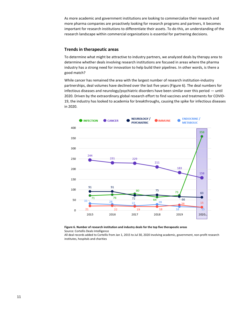As more academic and government institutions are looking to commercialize their research and more pharma companies are proactively looking for research programs and partners, it becomes important for research institutions to differentiate their assets. To do this, an understanding of the research landscape within commercial organizations is essential for partnering decisions.

### <span id="page-11-0"></span>**Trends in therapeutic areas**

To determine what might be attractive to industry partners, we analyzed deals by therapy area to determine whether deals involving research institutions are focused in areas where the pharma industry has a strong need for innovation to help build their pipelines. In other words, is there a good match?

While cancer has remained the area with the largest number of research institution-industry partnerships, deal volumes have declined over the last five years (Figure 6). The deal numbers for infectious diseases and neurology/psychiatric disorders have been similar over this period — until 2020. Driven by the extraordinary global research effort to find vaccines and treatments for COVID-19, the industry has looked to academia for breakthroughs, causing the spike for infectious diseases in 2020.



# **Figure 6. Number of research institution and industry deals for the top five therapeutic areas**

Source: Cortellis Deals Intelligence

All deal records added to Cortellis from Jan 1, 2015 to Jul 30, 2020 involving academic, government, non-profit research institutes, hospitals and charities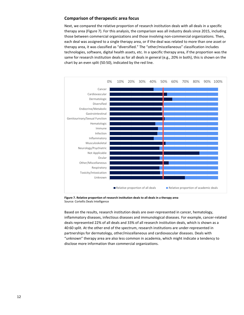# <span id="page-12-0"></span>**Comparison of therapeutic area focus**

Next, we compared the relative proportion of research institution deals with all deals in a specific therapy area (Figure 7). For this analysis, the comparison was all industry deals since 2015, including those between commercial organizations and those involving non-commercial organizations. Then, each deal was assigned to a single therapy area, or if the deal was related to more than one asset or therapy area, it was classified as "diversified." The "other/miscellaneous" classification includes technologies, software, digital health assets, etc. In a specific therapy area, if the proportion was the same for research institution deals as for all deals in general (e.g., 20% in both), this is shown on the chart by an even split (50:50), indicated by the red line.



**Figure 7. Relative proportion of research institution deals to all deals in a therapy area** Source: Cortellis Deals Intelligence

Based on the results, research institution deals are over-represented in cancer, hematology, inflammatory diseases, infectious diseases and immunological diseases. For example, cancer-related deals represented 22% of all deals and 33% of all research institution deals, which is shown as a 40:60 split. At the other end of the spectrum, research institutions are under-represented in partnerships for dermatology, other/miscellaneous and cardiovascular diseases. Deals with "unknown" therapy area are also less common in academia, which might indicate a tendency to disclose more information than commercial organizations.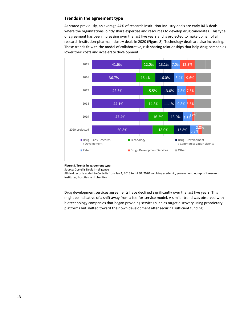# <span id="page-13-0"></span>**Trends in the agreement type**

As stated previously, an average 44% of research institution-industry deals are early R&D deals where the organizations jointly share expertise and resources to develop drug candidates. This type of agreement has been increasing over the last five years and is projected to make up half of all research institution-pharma industry deals in 2020 (Figure 8). Technology deals are also increasing. These trends fit with the model of collaborative, risk-sharing relationships that help drug companies lower their costs and accelerate development.



### **Figure 8. Trends in agreement type**

Source: Cortellis Deals Intelligence

All deal records added to Cortellis from Jan 1, 2015 to Jul 30, 2020 involving academic, government, non-profit research institutes, hospitals and charities

Drug development services agreements have declined significantly over the last five years. This might be indicative of a shift away from a fee-for-service model. A similar trend was observed with biotechnology companies that began providing services such as target discovery using proprietary platforms but shifted toward their own development after securing sufficient funding.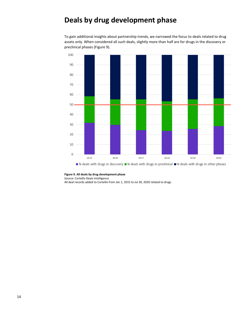# <span id="page-14-0"></span>**Deals by drug development phase**

To gain additional insights about partnership trends, we narrowed the focus to deals related to drug assets only. When considered all such deals, slightly more than half are for drugs in the discovery or preclinical phases (Figure 9).



### **Figure 9. All deals by drug development phase**

Source: Cortellis Deals Intelligence All deal records added to Cortellis from Jan 1, 2015 to Jul 30, 2020 related to drugs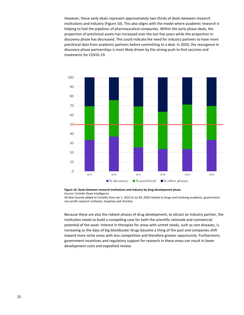However, these early deals represent approximately two-thirds of deals between research institutions and industry (Figure 10). This also aligns with the model where academic research is helping to fuel the pipelines of pharmaceutical companies. Within the early phase deals, the proportion of preclinical assets has increased over the last five years while the proportion in discovery phase has decreased. This could indicate the need for industry partners to have more preclinical data from academic partners before committing to a deal. In 2020, the resurgence in discovery phase partnerships is most likely driven by the strong push to find vaccines and treatments for COVID-19.



**Figure 10. Deals between research institutions and industry by drug development phase** Source: Cortellis Deals Intelligence

All deal records added to Cortellis from Jan 1, 2015 to Jul 30, 2020 related to drugs and involving academic, government, non-profit research institutes, hospitals and charities

Because these are also the riskiest phases of drug development, to attract an industry partner, the institution needs to build a compelling case for both the scientific rationale and commercial potential of the asset. Interest in therapies for areas with unmet needs, such as rare diseases, is increasing as the days of big blockbuster drugs become a thing of the past and companies shift toward more niche areas with less competition and therefore greater opportunity. Furthermore, government incentives and regulatory support for research in these areas can result in lower development costs and expedited review.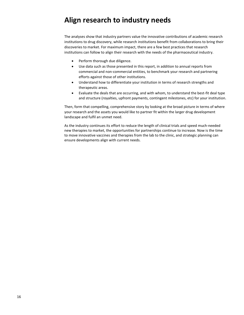# <span id="page-16-0"></span>**Align research to industry needs**

The analyses show that industry partners value the innovative contributions of academic research institutions to drug discovery, while research institutions benefit from collaborations to bring their discoveries to market. For maximum impact, there are a few best practices that research institutions can follow to align their research with the needs of the pharmaceutical industry.

- Perform thorough due diligence.
- Use data such as those presented in this report, in addition to annual reports from commercial and non-commercial entities, to benchmark your research and partnering efforts against those of other institutions.
- Understand how to differentiate your institution in terms of research strengths and therapeutic areas.
- Evaluate the deals that are occurring, and with whom, to understand the best-fit deal type and structure (royalties, upfront payments, contingent milestones, etc) for your institution.

Then, form that compelling, comprehensive story by looking at the broad picture in terms of where your research and the assets you would like to partner fit within the larger drug development landscape and fulfil an unmet need.

As the industry continues its effort to reduce the length of clinical trials and speed much-needed new therapies to market, the opportunities for partnerships continue to increase. Now is the time to move innovative vaccines and therapies from the lab to the clinic, and strategic planning can ensure developments align with current needs.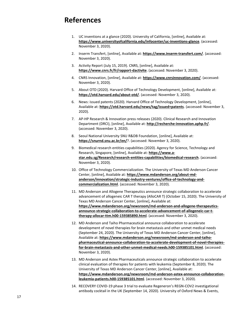# <span id="page-17-0"></span>**References**

- 1. UC inventions at a glance (2020). University of California, [online], Available at: **<https://www.universityofcalifornia.edu/infocenter/uc-inventions-glance>**. (accessed: November 3, 2020).
- 2. Inserm Transfert, [online], Available at: **<https://www.inserm-transfert.com/>**. (accessed: November 3, 2020).
- 3. Activity Report (July 15, 2019). CNRS, [online], Available at: **<https://www.cnrs.fr/fr/rapport-dactivite>**. (accessed: November 3, 2020).
- 4. CNRS Innovation, [online], Available at: **<https://www.cnrsinnovation.com/>**. (accessed: November 3, 2020).
- 5. About OTD (2020). Harvard Office of Technology Development, [online], Available at: **<https://otd.harvard.edu/about-otd/>**. (accessed: November 3, 2020).
- 6. News: issued patents (2020). Harvard Office of Technology Development, [online], Available at: **<https://otd.harvard.edu/news/tag/issued+patents>**. (accessed: November 3, 2020).
- 7. AP-HP Research & Innovation press releases (2020). Clinical Research and Innovation Department (DRCI), [online], Available at: **<http://recherche-innovation.aphp.fr/>**. (accessed: November 3, 2020).
- 8. Seoul National University SNU R&DB Foundation, [online], Available at: **<https://snurnd.snu.ac.kr/en/>**?. (accessed: November 3, 2020).
- 9. Biomedical research entities capabilities (2020). Agency for Science, Technology and Research, Singapore, [online], Available at: **[https://www.a](https://www.a-star.edu.sg/Research/research-entities-capabilities/biomedical-research)[star.edu.sg/Research/research-entities-capabilities/biomedical-research](https://www.a-star.edu.sg/Research/research-entities-capabilities/biomedical-research)**. (accessed: November 3, 2020).
- 10. Office of Technology Commercialization. The University of Texas MD Anderson Cancer Center, [online], Available at: **[https://www.mdanderson.org/about-md](https://www.mdanderson.org/about-md-anderson/innovation/strategic-industry-ventures/office-of-technology-and-commercialization.html)[anderson/innovation/strategic-industry-ventures/office-of-technology-and](https://www.mdanderson.org/about-md-anderson/innovation/strategic-industry-ventures/office-of-technology-and-commercialization.html)[commercialization.html](https://www.mdanderson.org/about-md-anderson/innovation/strategic-industry-ventures/office-of-technology-and-commercialization.html)**. (accessed: November 3, 2020).
- 11. MD Anderson and Allogene Therapeutics announce strategic collaboration to accelerate advancement of allogeneic CAR T therapy (AlloCAR T) (October 15, 2020). The University of Texas MD Anderson Cancer Center, [online], Available at: **[https://www.mdanderson.org/newsroom/md-anderson-and-allogene-therapeutics](https://www.mdanderson.org/newsroom/md-anderson-and-allogene-therapeutics-announce-strategic-collaboration-to-accelerate-advancement-of-allogeneic-car-t-therapy-allocar-ttm.h00-159385890.html)[announce-strategic-collaboration-to-accelerate-advancement-of-allogeneic-car-t](https://www.mdanderson.org/newsroom/md-anderson-and-allogene-therapeutics-announce-strategic-collaboration-to-accelerate-advancement-of-allogeneic-car-t-therapy-allocar-ttm.h00-159385890.html)[therapy-allocar-ttm.h00-159385890.html](https://www.mdanderson.org/newsroom/md-anderson-and-allogene-therapeutics-announce-strategic-collaboration-to-accelerate-advancement-of-allogeneic-car-t-therapy-allocar-ttm.h00-159385890.html)**. (accessed: November 3, 2020).
- 12. MD Anderson and Taiho Pharmaceutical announce collaboration to accelerate development of novel therapies for brain metastasis and other unmet medical needs (September 24, 2020). The University of Texas MD Anderson Cancer Center, [online], Available at: **[https://www.mdanderson.org/newsroom/md-anderson-and-taiho](https://www.mdanderson.org/newsroom/md-anderson-and-taiho-pharmaceutical-announce-collaboration-to-accelerate-development-of-novel-therapies-for-brain-metastasis-and-other-unmet-medical-needs.h00-159385101.html)[pharmaceutical-announce-collaboration-to-accelerate-development-of-novel-therapies](https://www.mdanderson.org/newsroom/md-anderson-and-taiho-pharmaceutical-announce-collaboration-to-accelerate-development-of-novel-therapies-for-brain-metastasis-and-other-unmet-medical-needs.h00-159385101.html)[for-brain-metastasis-and-other-unmet-medical-needs.h00-159385101.html](https://www.mdanderson.org/newsroom/md-anderson-and-taiho-pharmaceutical-announce-collaboration-to-accelerate-development-of-novel-therapies-for-brain-metastasis-and-other-unmet-medical-needs.h00-159385101.html)**. (accessed: November 3, 2020).
- 13. MD Anderson and Astex Pharmaceuticals announce strategic collaboration to accelerate clinical evaluation of therapies for patients with leukemia (September 8, 2020). The University of Texas MD Anderson Cancer Center, [online], Available at: **[https://www.mdanderson.org/newsroom/md-anderson-astex-announce-collaboration](https://www.mdanderson.org/newsroom/md-anderson-astex-announce-collaboration-leukemia-patients.h00-159385101.html)[leukemia-patients.h00-159385101.html](https://www.mdanderson.org/newsroom/md-anderson-astex-announce-collaboration-leukemia-patients.h00-159385101.html)**. (accessed: November 3, 2020).
- 14. RECOVERY COVID-19 phase 3 trial to evaluate Regeneron's REGN-COV2 investigational antibody cocktail in the UK (September 14, 2020). University of Oxford News & Events,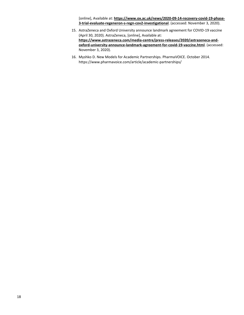[online], Available at: **[https://www.ox.ac.uk/news/2020-09-14-recovery-covid-19-phase-](https://www.ox.ac.uk/news/2020-09-14-recovery-covid-19-phase-3-trial-evaluate-regeneron-s-regn-cov2-investigational)[3-trial-evaluate-regeneron-s-regn-cov2-investigational](https://www.ox.ac.uk/news/2020-09-14-recovery-covid-19-phase-3-trial-evaluate-regeneron-s-regn-cov2-investigational)**. (accessed: November 3, 2020).

- 15. AstraZeneca and Oxford University announce landmark agreement for COVID-19 vaccine (April 30, 2020). AstraZeneca, [online], Available at: **[https://www.astrazeneca.com/media-centre/press-releases/2020/astrazeneca-and](https://www.astrazeneca.com/media-centre/press-releases/2020/astrazeneca-and-oxford-university-announce-landmark-agreement-for-covid-19-vaccine.html)[oxford-university-announce-landmark-agreement-for-covid-19-vaccine.html](https://www.astrazeneca.com/media-centre/press-releases/2020/astrazeneca-and-oxford-university-announce-landmark-agreement-for-covid-19-vaccine.html)**. (accessed: November 3, 2020).
- 16. Myshko D. New Models for Academic Partnerships. PharmaVOICE. October 2014. https://www.pharmavoice.com/article/academic-partnerships/